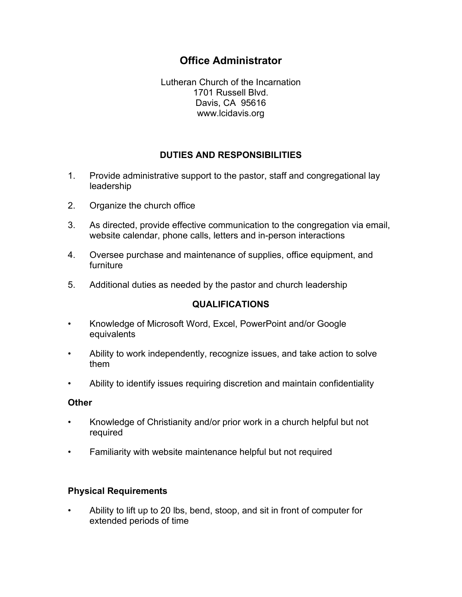# **Office Administrator**

Lutheran Church of the Incarnation 1701 Russell Blvd. Davis, CA 95616 www.lcidavis.org

# **DUTIES AND RESPONSIBILITIES**

- 1. Provide administrative support to the pastor, staff and congregational lay leadership
- 2. Organize the church office
- 3. As directed, provide effective communication to the congregation via email, website calendar, phone calls, letters and in-person interactions
- 4. Oversee purchase and maintenance of supplies, office equipment, and furniture
- 5. Additional duties as needed by the pastor and church leadership

#### **QUALIFICATIONS**

- Knowledge of Microsoft Word, Excel, PowerPoint and/or Google equivalents
- Ability to work independently, recognize issues, and take action to solve them
- Ability to identify issues requiring discretion and maintain confidentiality

#### **Other**

- Knowledge of Christianity and/or prior work in a church helpful but not required
- Familiarity with website maintenance helpful but not required

## **Physical Requirements**

• Ability to lift up to 20 lbs, bend, stoop, and sit in front of computer for extended periods of time